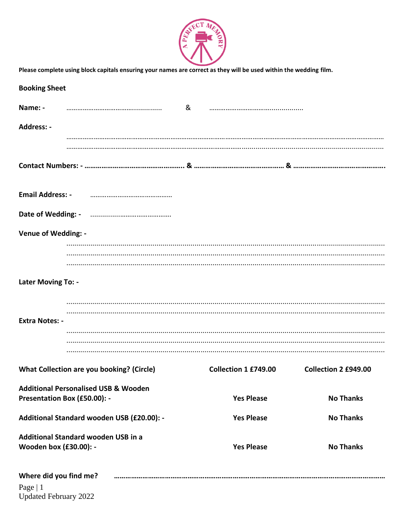

| Please complete using block capitals ensuring your names are correct as they will be used within the wedding film. |                                                 |  |                      |                      |  |
|--------------------------------------------------------------------------------------------------------------------|-------------------------------------------------|--|----------------------|----------------------|--|
| <b>Booking Sheet</b>                                                                                               |                                                 |  |                      |                      |  |
| Name: -                                                                                                            |                                                 |  |                      |                      |  |
| Address: -                                                                                                         |                                                 |  |                      |                      |  |
|                                                                                                                    |                                                 |  |                      |                      |  |
|                                                                                                                    |                                                 |  |                      |                      |  |
| <b>Email Address: -</b>                                                                                            |                                                 |  |                      |                      |  |
|                                                                                                                    |                                                 |  |                      |                      |  |
| <b>Venue of Wedding: -</b>                                                                                         |                                                 |  |                      |                      |  |
|                                                                                                                    |                                                 |  |                      |                      |  |
| Later Moving To: -                                                                                                 |                                                 |  |                      |                      |  |
|                                                                                                                    |                                                 |  |                      |                      |  |
| <b>Extra Notes: -</b>                                                                                              |                                                 |  |                      |                      |  |
|                                                                                                                    |                                                 |  |                      |                      |  |
|                                                                                                                    | What Collection are you booking? (Circle)       |  | Collection 1 £749.00 | Collection 2 £949.00 |  |
| Presentation Box (£50.00): -                                                                                       | <b>Additional Personalised USB &amp; Wooden</b> |  | <b>Yes Please</b>    | <b>No Thanks</b>     |  |
|                                                                                                                    | Additional Standard wooden USB (£20.00): -      |  | <b>Yes Please</b>    | <b>No Thanks</b>     |  |
| Additional Standard wooden USB in a<br><b>Wooden box (£30.00): -</b>                                               |                                                 |  | <b>Yes Please</b>    | <b>No Thanks</b>     |  |
| Where did you find me?<br>Page   1                                                                                 |                                                 |  |                      |                      |  |

Page | 1<br>Updated February 2022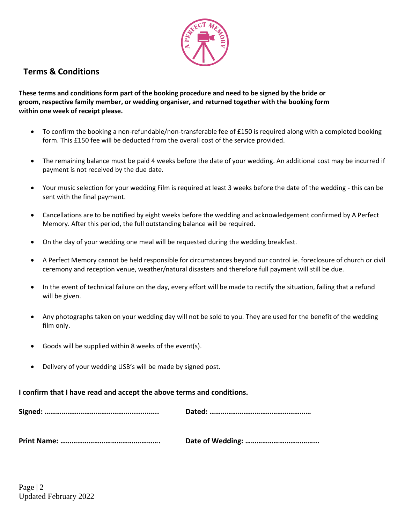

# **Terms & Conditions**

**These terms and conditions form part of the booking procedure and need to be signed by the bride or groom, respective family member, or wedding organiser, and returned together with the booking form within one week of receipt please.**

- To confirm the booking a non-refundable/non-transferable fee of £150 is required along with a completed booking form. This £150 fee will be deducted from the overall cost of the service provided.
- The remaining balance must be paid 4 weeks before the date of your wedding. An additional cost may be incurred if payment is not received by the due date.
- Your music selection for your wedding Film is required at least 3 weeks before the date of the wedding this can be sent with the final payment.
- Cancellations are to be notified by eight weeks before the wedding and acknowledgement confirmed by A Perfect Memory. After this period, the full outstanding balance will be required.
- On the day of your wedding one meal will be requested during the wedding breakfast.
- A Perfect Memory cannot be held responsible for circumstances beyond our control ie. foreclosure of church or civil ceremony and reception venue, weather/natural disasters and therefore full payment will still be due.
- In the event of technical failure on the day, every effort will be made to rectify the situation, failing that a refund will be given.
- Any photographs taken on your wedding day will not be sold to you. They are used for the benefit of the wedding film only.
- Goods will be supplied within 8 weeks of the event(s).
- Delivery of your wedding USB's will be made by signed post.

**I confirm that I have read and accept the above terms and conditions.**

|--|--|

**Print Name: ………………………………….…………. Date of Wedding: ………………………………...**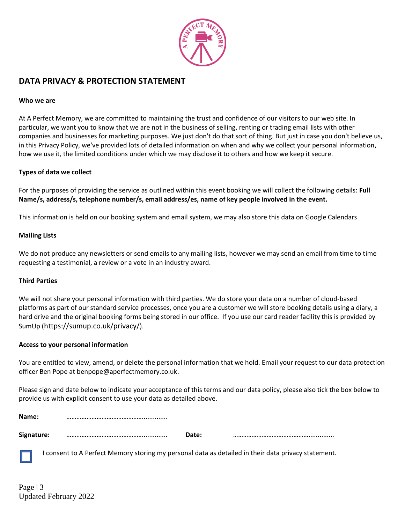

# **DATA PRIVACY & PROTECTION STATEMENT**

### **Who we are**

At A Perfect Memory, we are committed to maintaining the trust and confidence of our visitors to our web site. In particular, we want you to know that we are not in the business of selling, renting or trading email lists with other companies and businesses for marketing purposes. We just don't do that sort of thing. But just in case you don't believe us, in this Privacy Policy, we've provided lots of detailed information on when and why we collect your personal information, how we use it, the limited conditions under which we may disclose it to others and how we keep it secure.

### **Types of data we collect**

For the purposes of providing the service as outlined within this event booking we will collect the following details: **Full Name/s, address/s, telephone number/s, email address/es, name of key people involved in the event.**

This information is held on our booking system and email system, we may also store this data on Google Calendars

## **Mailing Lists**

We do not produce any newsletters or send emails to any mailing lists, however we may send an email from time to time requesting a testimonial, a review or a vote in an industry award.

### **Third Parties**

We will not share your personal information with third parties. We do store your data on a number of cloud-based platforms as part of our standard service processes, once you are a customer we will store booking details using a diary, a hard drive and the original booking forms being stored in our office. If you use our card reader facility this is provided by SumUp (https://sumup.co.uk/privacy/).

### **Access to your personal information**

You are entitled to view, amend, or delete the personal information that we hold. Email your request to our data protection officer Ben Pope at [benpope@aperfectmemory.co.uk.](mailto:benpope@aperfectmemory.co.uk)

Please sign and date below to indicate your acceptance of this terms and our data policy, please also tick the box below to provide us with explicit consent to use your data as detailed above.

| Name:      |       |  |
|------------|-------|--|
| Signature: | Date: |  |

I consent to A Perfect Memory storing my personal data as detailed in their data privacy statement.

Page  $|3$ Updated February 2022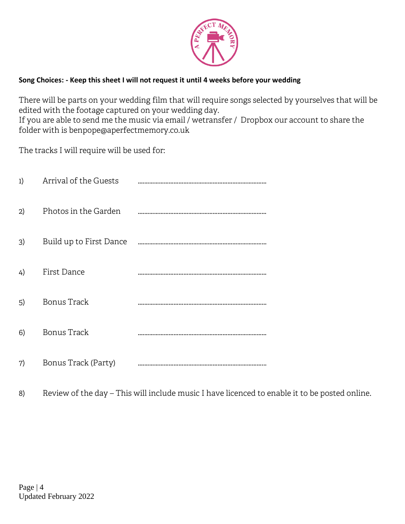

# **Song Choices: - Keep this sheet I will not request it until 4 weeks before your wedding**

There will be parts on your wedding film that will require songs selected by yourselves that will be edited with the footage captured on your wedding day. If you are able to send me the music via email / wetransfer / Dropbox our account to share the folder with is benpope@aperfectmemory.co.uk

The tracks I will require will be used for:

| 1) | Arrival of the Guests   |  |
|----|-------------------------|--|
| 2) | Photos in the Garden    |  |
| 3) | Build up to First Dance |  |
| 4) | First Dance             |  |
| 5) | Bonus Track             |  |
| 6) | <b>Bonus Track</b>      |  |
| 7) | Bonus Track (Party)     |  |

8) Review of the day – This will include music I have licenced to enable it to be posted online.